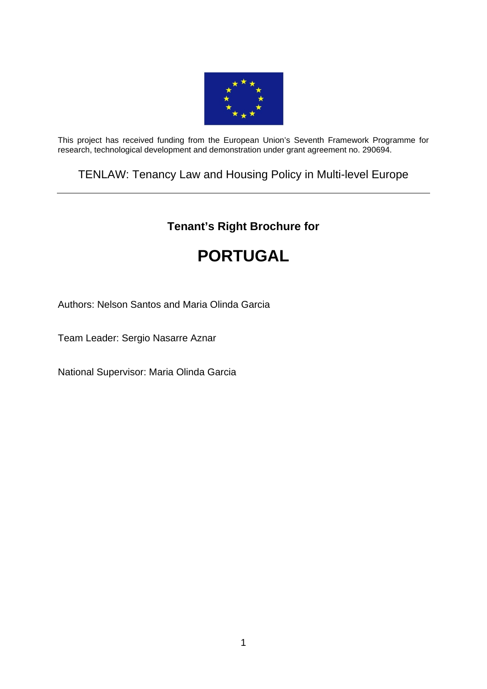

This project has received funding from the European Union's Seventh Framework Programme for research, technological development and demonstration under grant agreement no. 290694.

TENLAW: Tenancy Law and Housing Policy in Multi-level Europe

# **Tenant's Right Brochure for**

# **PORTUGAL**

Authors: Nelson Santos and Maria Olinda Garcia

Team Leader: Sergio Nasarre Aznar

National Supervisor: Maria Olinda Garcia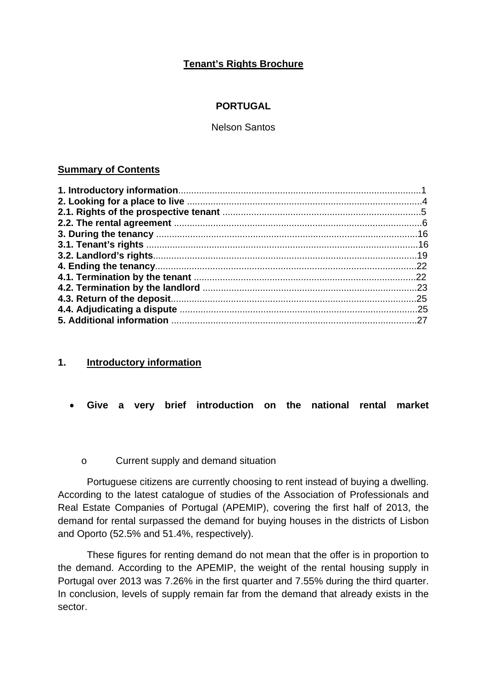# **Tenant's Rights Brochure**

# **PORTUGAL**

Nelson Santos

#### **Summary of Contents**

# **1. Introductory information**

**Give a very brief introduction on the national rental market** 

#### o Current supply and demand situation

Portuguese citizens are currently choosing to rent instead of buying a dwelling. According to the latest catalogue of studies of the Association of Professionals and Real Estate Companies of Portugal (APEMIP), covering the first half of 2013, the demand for rental surpassed the demand for buying houses in the districts of Lisbon and Oporto (52.5% and 51.4%, respectively).

These figures for renting demand do not mean that the offer is in proportion to the demand. According to the APEMIP, the weight of the rental housing supply in Portugal over 2013 was 7.26% in the first quarter and 7.55% during the third quarter. In conclusion, levels of supply remain far from the demand that already exists in the sector.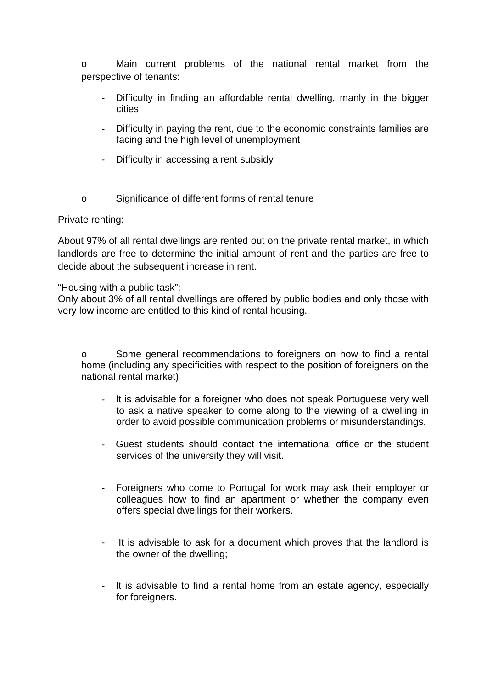o Main current problems of the national rental market from the perspective of tenants:

- Difficulty in finding an affordable rental dwelling, manly in the bigger cities
- Difficulty in paying the rent, due to the economic constraints families are facing and the high level of unemployment
- Difficulty in accessing a rent subsidy
- o Significance of different forms of rental tenure

#### Private renting:

About 97% of all rental dwellings are rented out on the private rental market, in which landlords are free to determine the initial amount of rent and the parties are free to decide about the subsequent increase in rent.

"Housing with a public task":

Only about 3% of all rental dwellings are offered by public bodies and only those with very low income are entitled to this kind of rental housing.

o Some general recommendations to foreigners on how to find a rental home (including any specificities with respect to the position of foreigners on the national rental market)

- It is advisable for a foreigner who does not speak Portuguese very well to ask a native speaker to come along to the viewing of a dwelling in order to avoid possible communication problems or misunderstandings.
- Guest students should contact the international office or the student services of the university they will visit.
- Foreigners who come to Portugal for work may ask their employer or colleagues how to find an apartment or whether the company even offers special dwellings for their workers.
- It is advisable to ask for a document which proves that the landlord is the owner of the dwelling;
- It is advisable to find a rental home from an estate agency, especially for foreigners.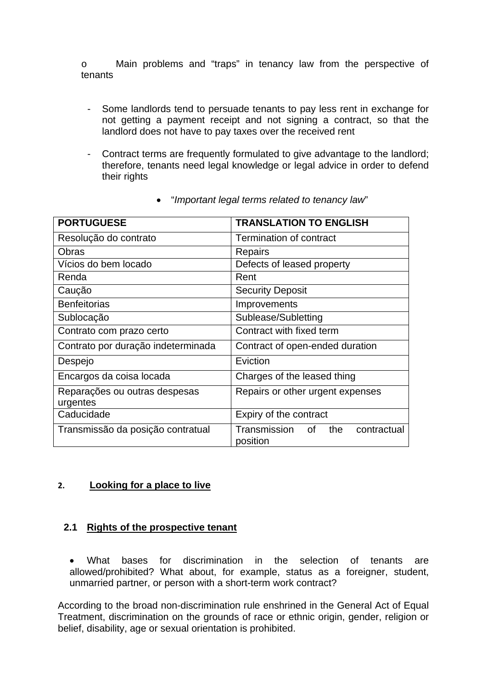o Main problems and "traps" in tenancy law from the perspective of tenants

- Some landlords tend to persuade tenants to pay less rent in exchange for not getting a payment receipt and not signing a contract, so that the landlord does not have to pay taxes over the received rent
- Contract terms are frequently formulated to give advantage to the landlord; therefore, tenants need legal knowledge or legal advice in order to defend their rights

| <b>PORTUGUESE</b>                         | <b>TRANSLATION TO ENGLISH</b>                     |
|-------------------------------------------|---------------------------------------------------|
| Resolução do contrato                     | Termination of contract                           |
| <b>Obras</b>                              | <b>Repairs</b>                                    |
| Vícios do bem locado                      | Defects of leased property                        |
| Renda                                     | Rent                                              |
| Caução                                    | <b>Security Deposit</b>                           |
| <b>Benfeitorias</b>                       | Improvements                                      |
| Sublocação                                | Sublease/Subletting                               |
| Contrato com prazo certo                  | Contract with fixed term                          |
| Contrato por duração indeterminada        | Contract of open-ended duration                   |
| Despejo                                   | Eviction                                          |
| Encargos da coisa locada                  | Charges of the leased thing                       |
| Reparações ou outras despesas<br>urgentes | Repairs or other urgent expenses                  |
| Caducidade                                | Expiry of the contract                            |
| Transmissão da posição contratual         | Transmission of<br>the<br>contractual<br>position |

"*Important legal terms related to tenancy law*"

# **2. Looking for a place to live**

# **2.1 Rights of the prospective tenant**

 What bases for discrimination in the selection of tenants are allowed/prohibited? What about, for example, status as a foreigner, student, unmarried partner, or person with a short-term work contract?

According to the broad non-discrimination rule enshrined in the General Act of Equal Treatment, discrimination on the grounds of race or ethnic origin, gender, religion or belief, disability, age or sexual orientation is prohibited.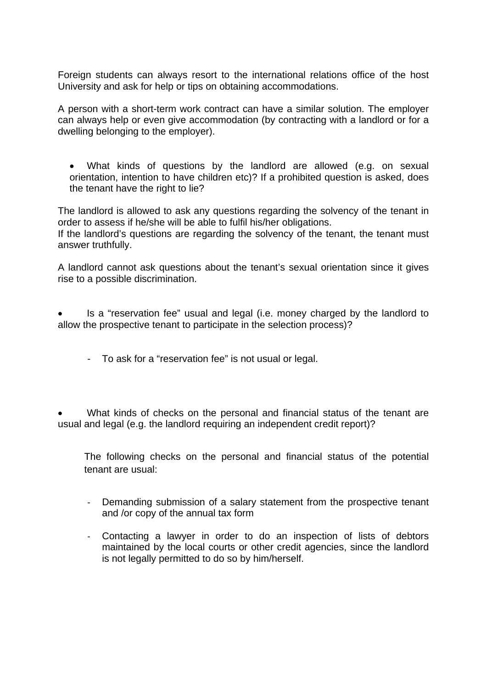Foreign students can always resort to the international relations office of the host University and ask for help or tips on obtaining accommodations.

A person with a short-term work contract can have a similar solution. The employer can always help or even give accommodation (by contracting with a landlord or for a dwelling belonging to the employer).

 What kinds of questions by the landlord are allowed (e.g. on sexual orientation, intention to have children etc)? If a prohibited question is asked, does the tenant have the right to lie?

The landlord is allowed to ask any questions regarding the solvency of the tenant in order to assess if he/she will be able to fulfil his/her obligations.

If the landlord's questions are regarding the solvency of the tenant, the tenant must answer truthfully.

A landlord cannot ask questions about the tenant's sexual orientation since it gives rise to a possible discrimination.

 Is a "reservation fee" usual and legal (i.e. money charged by the landlord to allow the prospective tenant to participate in the selection process)?

- To ask for a "reservation fee" is not usual or legal.

 What kinds of checks on the personal and financial status of the tenant are usual and legal (e.g. the landlord requiring an independent credit report)?

The following checks on the personal and financial status of the potential tenant are usual:

- Demanding submission of a salary statement from the prospective tenant and /or copy of the annual tax form
- Contacting a lawyer in order to do an inspection of lists of debtors maintained by the local courts or other credit agencies, since the landlord is not legally permitted to do so by him/herself.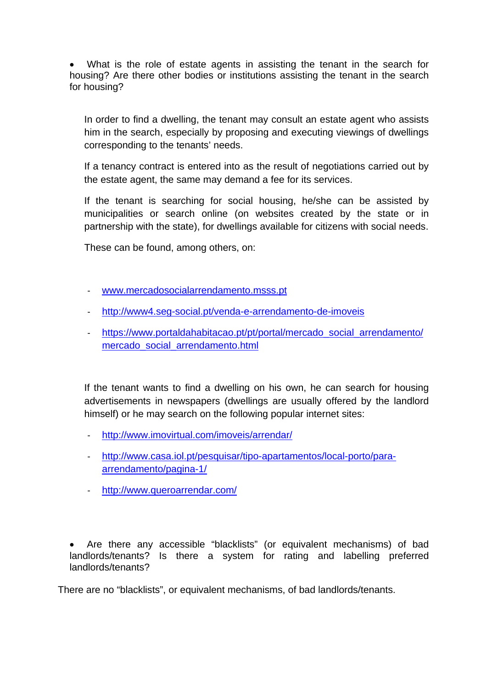What is the role of estate agents in assisting the tenant in the search for housing? Are there other bodies or institutions assisting the tenant in the search for housing?

In order to find a dwelling, the tenant may consult an estate agent who assists him in the search, especially by proposing and executing viewings of dwellings corresponding to the tenants' needs.

If a tenancy contract is entered into as the result of negotiations carried out by the estate agent, the same may demand a fee for its services.

If the tenant is searching for social housing, he/she can be assisted by municipalities or search online (on websites created by the state or in partnership with the state), for dwellings available for citizens with social needs.

These can be found, among others, on:

- [www.mercadosocialarrendamento.msss.pt](http://www.mercadosocialarrendamento.msss.pt/)
- <http://www4.seg-social.pt/venda-e-arrendamento-de-imoveis>
- [https://www.portaldahabitacao.pt/pt/portal/mercado\\_social\\_arrendamento/](https://www.portaldahabitacao.pt/pt/portal/mercado_social_arrendamento/mercado_social_arrendamento.html) [mercado\\_social\\_arrendamento.html](https://www.portaldahabitacao.pt/pt/portal/mercado_social_arrendamento/mercado_social_arrendamento.html)

If the tenant wants to find a dwelling on his own, he can search for housing advertisements in newspapers (dwellings are usually offered by the landlord himself) or he may search on the following popular internet sites:

- <http://www.imovirtual.com/imoveis/arrendar/>
- [http://www.casa.iol.pt/pesquisar/tipo-apartamentos/local-porto/para](http://www.casa.iol.pt/pesquisar/tipo-apartamentos/local-porto/para-arrendamento/pagina-1/)[arrendamento/pagina-1/](http://www.casa.iol.pt/pesquisar/tipo-apartamentos/local-porto/para-arrendamento/pagina-1/)
- <http://www.queroarrendar.com/>

 Are there any accessible "blacklists" (or equivalent mechanisms) of bad landlords/tenants? Is there a system for rating and labelling preferred landlords/tenants?

There are no "blacklists", or equivalent mechanisms, of bad landlords/tenants.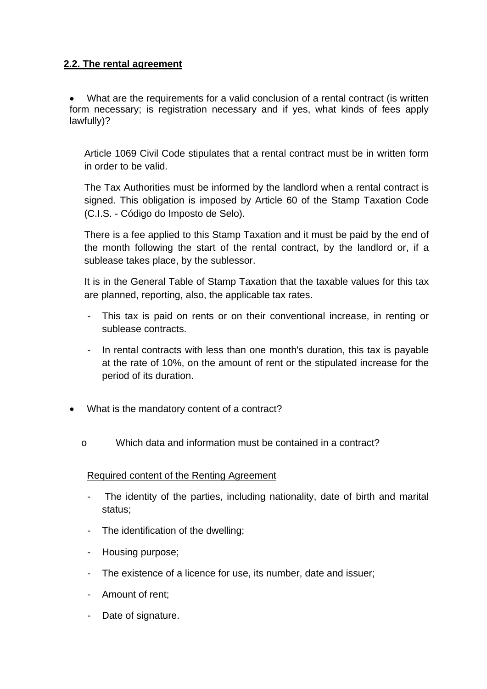# **2.2. The rental agreement**

 What are the requirements for a valid conclusion of a rental contract (is written form necessary; is registration necessary and if yes, what kinds of fees apply lawfully)?

Article 1069 Civil Code stipulates that a rental contract must be in written form in order to be valid.

The Tax Authorities must be informed by the landlord when a rental contract is signed. This obligation is imposed by Article 60 of the Stamp Taxation Code (C.I.S. - Código do Imposto de Selo).

There is a fee applied to this Stamp Taxation and it must be paid by the end of the month following the start of the rental contract, by the landlord or, if a sublease takes place, by the sublessor.

It is in the General Table of Stamp Taxation that the taxable values for this tax are planned, reporting, also, the applicable tax rates.

- This tax is paid on rents or on their conventional increase, in renting or sublease contracts.
- In rental contracts with less than one month's duration, this tax is payable at the rate of 10%, on the amount of rent or the stipulated increase for the period of its duration.
- What is the mandatory content of a contract?
	- o Which data and information must be contained in a contract?

#### Required content of the Renting Agreement

- The identity of the parties, including nationality, date of birth and marital status;
- The identification of the dwelling;
- Housing purpose;
- The existence of a licence for use, its number, date and issuer;
- Amount of rent;
- Date of signature.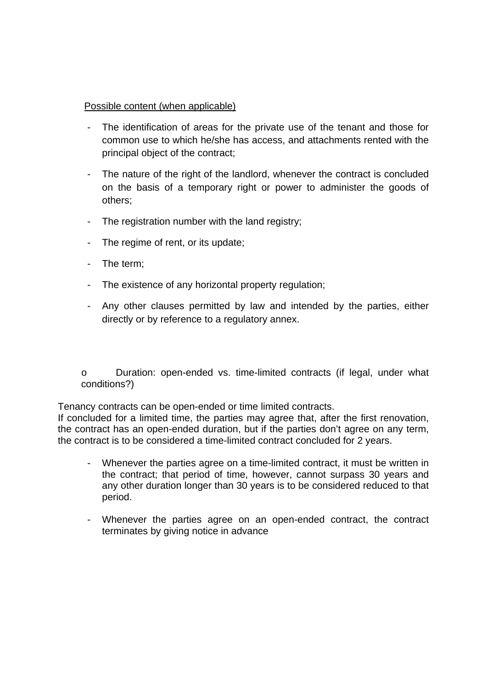#### Possible content (when applicable)

- The identification of areas for the private use of the tenant and those for common use to which he/she has access, and attachments rented with the principal object of the contract;
- The nature of the right of the landlord, whenever the contract is concluded on the basis of a temporary right or power to administer the goods of others;
- The registration number with the land registry;
- The regime of rent, or its update;
- The term;
- The existence of any horizontal property regulation;
- Any other clauses permitted by law and intended by the parties, either directly or by reference to a regulatory annex.

o Duration: open-ended vs. time-limited contracts (if legal, under what conditions?)

Tenancy contracts can be open-ended or time limited contracts.

If concluded for a limited time, the parties may agree that, after the first renovation, the contract has an open-ended duration, but if the parties don't agree on any term, the contract is to be considered a time-limited contract concluded for 2 years.

- Whenever the parties agree on a time-limited contract, it must be written in the contract; that period of time, however, cannot surpass 30 years and any other duration longer than 30 years is to be considered reduced to that period.
- Whenever the parties agree on an open-ended contract, the contract terminates by giving notice in advance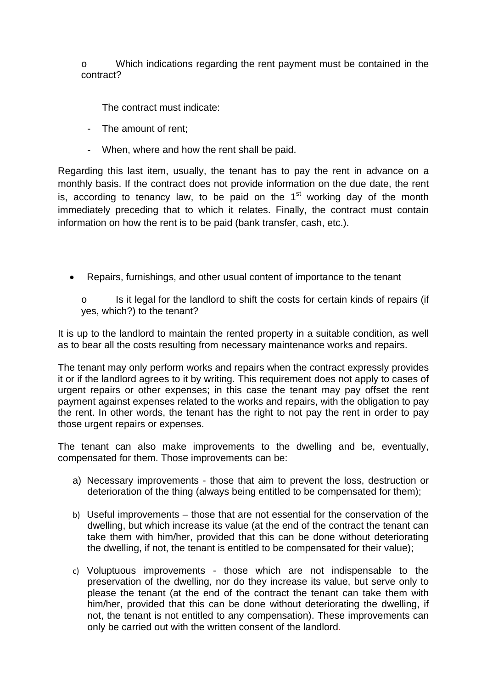o Which indications regarding the rent payment must be contained in the contract?

The contract must indicate:

- The amount of rent;
- When, where and how the rent shall be paid.

Regarding this last item, usually, the tenant has to pay the rent in advance on a monthly basis. If the contract does not provide information on the due date, the rent is, according to tenancy law, to be paid on the  $1<sup>st</sup>$  working day of the month immediately preceding that to which it relates. Finally, the contract must contain information on how the rent is to be paid (bank transfer, cash, etc.).

• Repairs, furnishings, and other usual content of importance to the tenant

o Is it legal for the landlord to shift the costs for certain kinds of repairs (if yes, which?) to the tenant?

It is up to the landlord to maintain the rented property in a suitable condition, as well as to bear all the costs resulting from necessary maintenance works and repairs.

The tenant may only perform works and repairs when the contract expressly provides it or if the landlord agrees to it by writing. This requirement does not apply to cases of urgent repairs or other expenses; in this case the tenant may pay offset the rent payment against expenses related to the works and repairs, with the obligation to pay the rent. In other words, the tenant has the right to not pay the rent in order to pay those urgent repairs or expenses.

The tenant can also make improvements to the dwelling and be, eventually, compensated for them. Those improvements can be:

- a) Necessary improvements those that aim to prevent the loss, destruction or deterioration of the thing (always being entitled to be compensated for them);
- b) Useful improvements those that are not essential for the conservation of the dwelling, but which increase its value (at the end of the contract the tenant can take them with him/her, provided that this can be done without deteriorating the dwelling, if not, the tenant is entitled to be compensated for their value);
- c) Voluptuous improvements those which are not indispensable to the preservation of the dwelling, nor do they increase its value, but serve only to please the tenant (at the end of the contract the tenant can take them with him/her, provided that this can be done without deteriorating the dwelling, if not, the tenant is not entitled to any compensation). These improvements can only be carried out with the written consent of the landlord.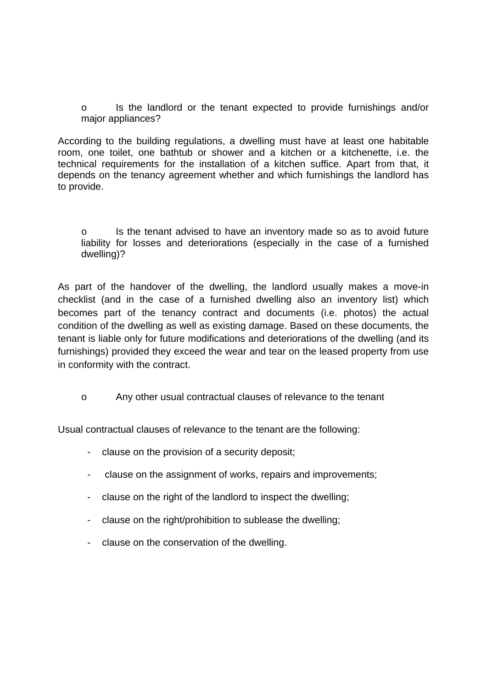o Is the landlord or the tenant expected to provide furnishings and/or major appliances?

According to the building regulations, a dwelling must have at least one habitable room, one toilet, one bathtub or shower and a kitchen or a kitchenette, i.e. the technical requirements for the installation of a kitchen suffice. Apart from that, it depends on the tenancy agreement whether and which furnishings the landlord has to provide.

o Is the tenant advised to have an inventory made so as to avoid future liability for losses and deteriorations (especially in the case of a furnished dwelling)?

As part of the handover of the dwelling, the landlord usually makes a move-in checklist (and in the case of a furnished dwelling also an inventory list) which becomes part of the tenancy contract and documents (i.e. photos) the actual condition of the dwelling as well as existing damage. Based on these documents, the tenant is liable only for future modifications and deteriorations of the dwelling (and its furnishings) provided they exceed the wear and tear on the leased property from use in conformity with the contract.

o Any other usual contractual clauses of relevance to the tenant

Usual contractual clauses of relevance to the tenant are the following:

- clause on the provision of a security deposit;
- clause on the assignment of works, repairs and improvements;
- clause on the right of the landlord to inspect the dwelling;
- clause on the right/prohibition to sublease the dwelling;
- clause on the conservation of the dwelling.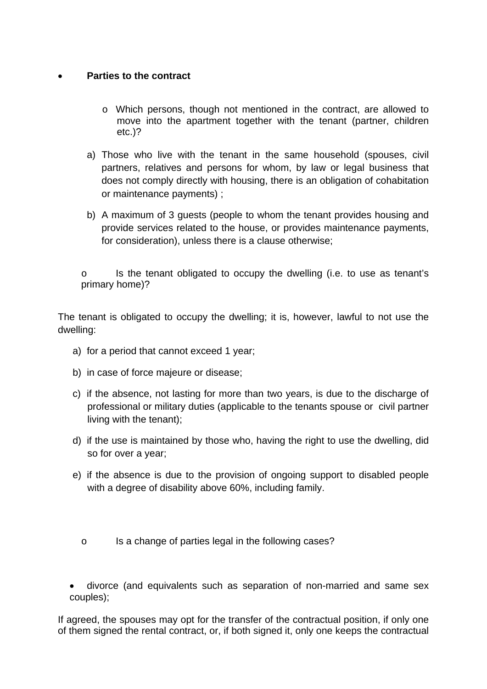#### **Parties to the contract**

- o Which persons, though not mentioned in the contract, are allowed to move into the apartment together with the tenant (partner, children etc.)?
- a) Those who live with the tenant in the same household (spouses, civil partners, relatives and persons for whom, by law or legal business that does not comply directly with housing, there is an obligation of cohabitation or maintenance payments) ;
- b) A maximum of 3 guests (people to whom the tenant provides housing and provide services related to the house, or provides maintenance payments, for consideration), unless there is a clause otherwise;

o Is the tenant obligated to occupy the dwelling (i.e. to use as tenant's primary home)?

The tenant is obligated to occupy the dwelling; it is, however, lawful to not use the dwelling:

- a) for a period that cannot exceed 1 year;
- b) in case of force majeure or disease;
- c) if the absence, not lasting for more than two years, is due to the discharge of professional or military duties (applicable to the tenants spouse or civil partner living with the tenant);
- d) if the use is maintained by those who, having the right to use the dwelling, did so for over a year;
- e) if the absence is due to the provision of ongoing support to disabled people with a degree of disability above 60%, including family.
	- o Is a change of parties legal in the following cases?
- divorce (and equivalents such as separation of non-married and same sex couples);

If agreed, the spouses may opt for the transfer of the contractual position, if only one of them signed the rental contract, or, if both signed it, only one keeps the contractual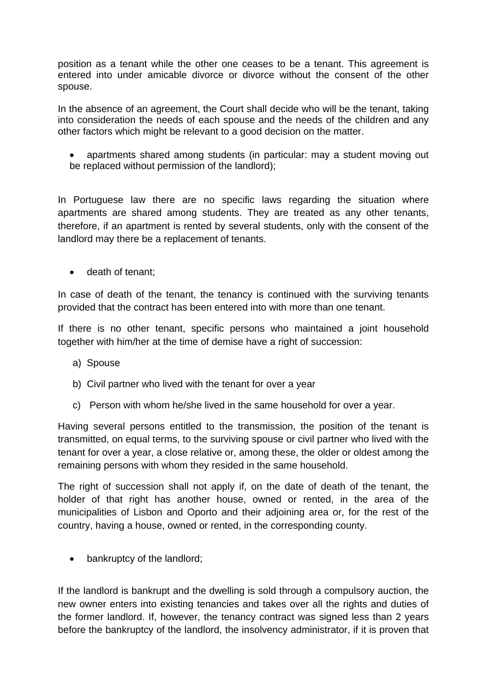position as a tenant while the other one ceases to be a tenant. This agreement is entered into under amicable divorce or divorce without the consent of the other spouse.

In the absence of an agreement, the Court shall decide who will be the tenant, taking into consideration the needs of each spouse and the needs of the children and any other factors which might be relevant to a good decision on the matter.

 apartments shared among students (in particular: may a student moving out be replaced without permission of the landlord);

In Portuguese law there are no specific laws regarding the situation where apartments are shared among students. They are treated as any other tenants, therefore, if an apartment is rented by several students, only with the consent of the landlord may there be a replacement of tenants.

• death of tenant;

In case of death of the tenant, the tenancy is continued with the surviving tenants provided that the contract has been entered into with more than one tenant.

If there is no other tenant, specific persons who maintained a joint household together with him/her at the time of demise have a right of succession:

- a) Spouse
- b) Civil partner who lived with the tenant for over a year
- c) Person with whom he/she lived in the same household for over a year.

Having several persons entitled to the transmission, the position of the tenant is transmitted, on equal terms, to the surviving spouse or civil partner who lived with the tenant for over a year, a close relative or, among these, the older or oldest among the remaining persons with whom they resided in the same household.

The right of succession shall not apply if, on the date of death of the tenant, the holder of that right has another house, owned or rented, in the area of the municipalities of Lisbon and Oporto and their adjoining area or, for the rest of the country, having a house, owned or rented, in the corresponding county.

• bankruptcy of the landlord;

If the landlord is bankrupt and the dwelling is sold through a compulsory auction, the new owner enters into existing tenancies and takes over all the rights and duties of the former landlord. If, however, the tenancy contract was signed less than 2 years before the bankruptcy of the landlord, the insolvency administrator, if it is proven that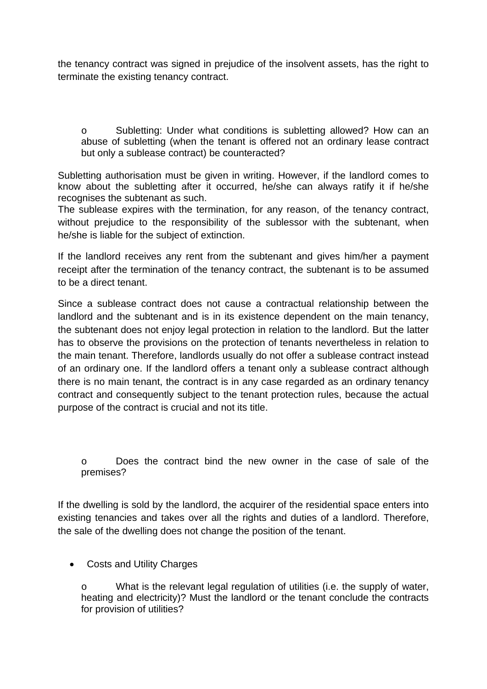the tenancy contract was signed in prejudice of the insolvent assets, has the right to terminate the existing tenancy contract.

o Subletting: Under what conditions is subletting allowed? How can an abuse of subletting (when the tenant is offered not an ordinary lease contract but only a sublease contract) be counteracted?

Subletting authorisation must be given in writing. However, if the landlord comes to know about the subletting after it occurred, he/she can always ratify it if he/she recognises the subtenant as such.

The sublease expires with the termination, for any reason, of the tenancy contract, without prejudice to the responsibility of the sublessor with the subtenant, when he/she is liable for the subject of extinction.

If the landlord receives any rent from the subtenant and gives him/her a payment receipt after the termination of the tenancy contract, the subtenant is to be assumed to be a direct tenant.

Since a sublease contract does not cause a contractual relationship between the landlord and the subtenant and is in its existence dependent on the main tenancy, the subtenant does not enjoy legal protection in relation to the landlord. But the latter has to observe the provisions on the protection of tenants nevertheless in relation to the main tenant. Therefore, landlords usually do not offer a sublease contract instead of an ordinary one. If the landlord offers a tenant only a sublease contract although there is no main tenant, the contract is in any case regarded as an ordinary tenancy contract and consequently subject to the tenant protection rules, because the actual purpose of the contract is crucial and not its title.

o Does the contract bind the new owner in the case of sale of the premises?

If the dwelling is sold by the landlord, the acquirer of the residential space enters into existing tenancies and takes over all the rights and duties of a landlord. Therefore, the sale of the dwelling does not change the position of the tenant.

• Costs and Utility Charges

What is the relevant legal regulation of utilities (i.e. the supply of water, heating and electricity)? Must the landlord or the tenant conclude the contracts for provision of utilities?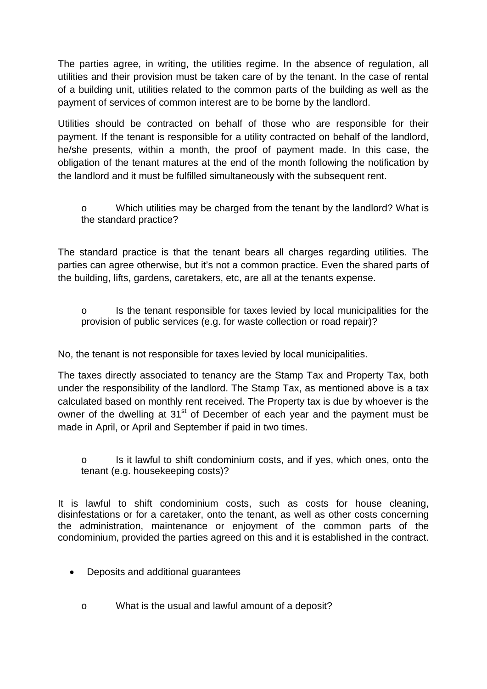The parties agree, in writing, the utilities regime. In the absence of regulation, all utilities and their provision must be taken care of by the tenant. In the case of rental of a building unit, utilities related to the common parts of the building as well as the payment of services of common interest are to be borne by the landlord.

Utilities should be contracted on behalf of those who are responsible for their payment. If the tenant is responsible for a utility contracted on behalf of the landlord, he/she presents, within a month, the proof of payment made. In this case, the obligation of the tenant matures at the end of the month following the notification by the landlord and it must be fulfilled simultaneously with the subsequent rent.

o Which utilities may be charged from the tenant by the landlord? What is the standard practice?

The standard practice is that the tenant bears all charges regarding utilities. The parties can agree otherwise, but it's not a common practice. Even the shared parts of the building, lifts, gardens, caretakers, etc, are all at the tenants expense.

o Is the tenant responsible for taxes levied by local municipalities for the provision of public services (e.g. for waste collection or road repair)?

No, the tenant is not responsible for taxes levied by local municipalities.

The taxes directly associated to tenancy are the Stamp Tax and Property Tax, both under the responsibility of the landlord. The Stamp Tax, as mentioned above is a tax calculated based on monthly rent received. The Property tax is due by whoever is the owner of the dwelling at  $31<sup>st</sup>$  of December of each year and the payment must be made in April, or April and September if paid in two times.

o Is it lawful to shift condominium costs, and if yes, which ones, onto the tenant (e.g. housekeeping costs)?

It is lawful to shift condominium costs, such as costs for house cleaning, disinfestations or for a caretaker, onto the tenant, as well as other costs concerning the administration, maintenance or enjoyment of the common parts of the condominium, provided the parties agreed on this and it is established in the contract.

- Deposits and additional guarantees
	- o What is the usual and lawful amount of a deposit?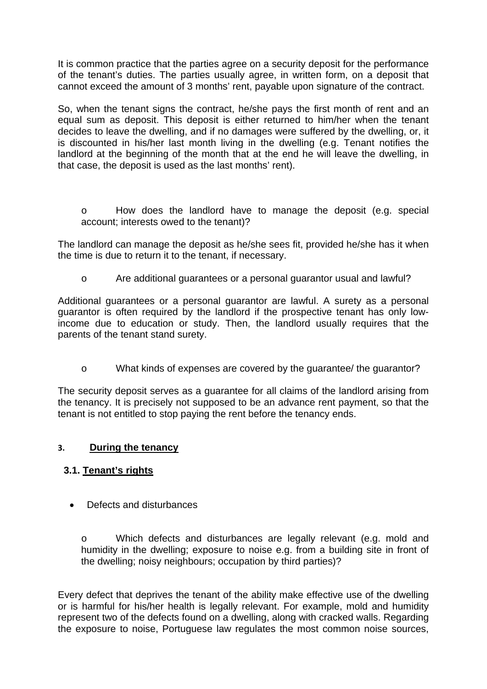It is common practice that the parties agree on a security deposit for the performance of the tenant's duties. The parties usually agree, in written form, on a deposit that cannot exceed the amount of 3 months' rent, payable upon signature of the contract.

So, when the tenant signs the contract, he/she pays the first month of rent and an equal sum as deposit. This deposit is either returned to him/her when the tenant decides to leave the dwelling, and if no damages were suffered by the dwelling, or, it is discounted in his/her last month living in the dwelling (e.g. Tenant notifies the landlord at the beginning of the month that at the end he will leave the dwelling, in that case, the deposit is used as the last months' rent).

o How does the landlord have to manage the deposit (e.g. special account; interests owed to the tenant)?

The landlord can manage the deposit as he/she sees fit, provided he/she has it when the time is due to return it to the tenant, if necessary.

o Are additional guarantees or a personal guarantor usual and lawful?

Additional guarantees or a personal guarantor are lawful. A surety as a personal guarantor is often required by the landlord if the prospective tenant has only lowincome due to education or study. Then, the landlord usually requires that the parents of the tenant stand surety.

o What kinds of expenses are covered by the guarantee/ the guarantor?

The security deposit serves as a guarantee for all claims of the landlord arising from the tenancy. It is precisely not supposed to be an advance rent payment, so that the tenant is not entitled to stop paying the rent before the tenancy ends.

# **3. During the tenancy**

# **3.1. Tenant's rights**

• Defects and disturbances

o Which defects and disturbances are legally relevant (e.g. mold and humidity in the dwelling; exposure to noise e.g. from a building site in front of the dwelling; noisy neighbours; occupation by third parties)?

Every defect that deprives the tenant of the ability make effective use of the dwelling or is harmful for his/her health is legally relevant. For example, mold and humidity represent two of the defects found on a dwelling, along with cracked walls. Regarding the exposure to noise, Portuguese law regulates the most common noise sources,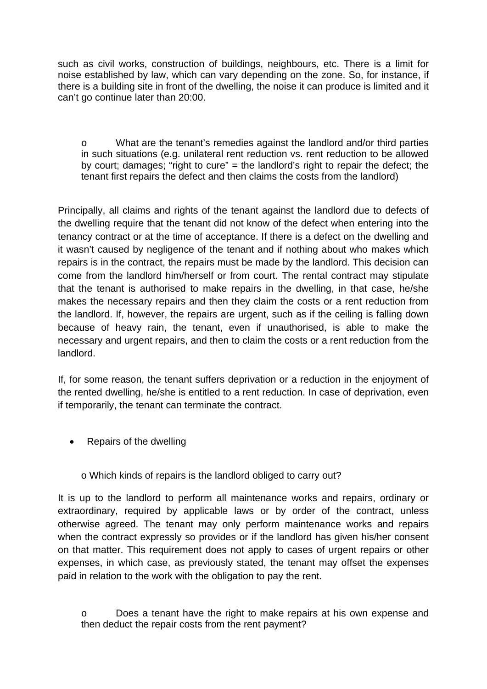such as civil works, construction of buildings, neighbours, etc. There is a limit for noise established by law, which can vary depending on the zone. So, for instance, if there is a building site in front of the dwelling, the noise it can produce is limited and it can't go continue later than 20:00.

o What are the tenant's remedies against the landlord and/or third parties in such situations (e.g. unilateral rent reduction vs. rent reduction to be allowed by court; damages; "right to cure" = the landlord's right to repair the defect; the tenant first repairs the defect and then claims the costs from the landlord)

Principally, all claims and rights of the tenant against the landlord due to defects of the dwelling require that the tenant did not know of the defect when entering into the tenancy contract or at the time of acceptance. If there is a defect on the dwelling and it wasn't caused by negligence of the tenant and if nothing about who makes which repairs is in the contract, the repairs must be made by the landlord. This decision can come from the landlord him/herself or from court. The rental contract may stipulate that the tenant is authorised to make repairs in the dwelling, in that case, he/she makes the necessary repairs and then they claim the costs or a rent reduction from the landlord. If, however, the repairs are urgent, such as if the ceiling is falling down because of heavy rain, the tenant, even if unauthorised, is able to make the necessary and urgent repairs, and then to claim the costs or a rent reduction from the landlord.

If, for some reason, the tenant suffers deprivation or a reduction in the enjoyment of the rented dwelling, he/she is entitled to a rent reduction. In case of deprivation, even if temporarily, the tenant can terminate the contract.

Repairs of the dwelling

o Which kinds of repairs is the landlord obliged to carry out?

It is up to the landlord to perform all maintenance works and repairs, ordinary or extraordinary, required by applicable laws or by order of the contract, unless otherwise agreed. The tenant may only perform maintenance works and repairs when the contract expressly so provides or if the landlord has given his/her consent on that matter. This requirement does not apply to cases of urgent repairs or other expenses, in which case, as previously stated, the tenant may offset the expenses paid in relation to the work with the obligation to pay the rent.

o Does a tenant have the right to make repairs at his own expense and then deduct the repair costs from the rent payment?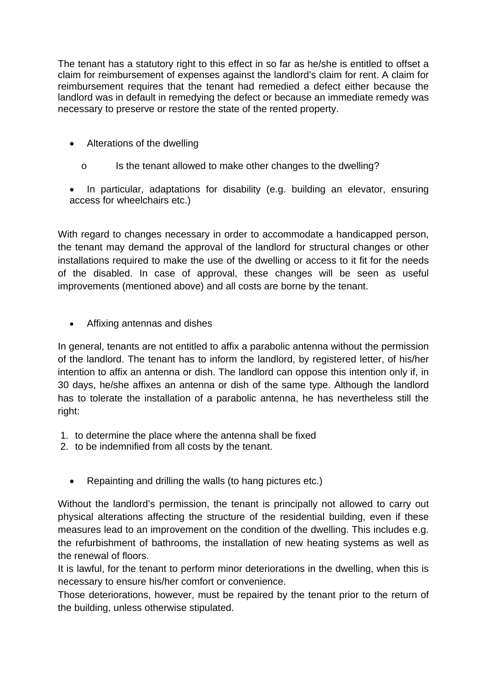The tenant has a statutory right to this effect in so far as he/she is entitled to offset a claim for reimbursement of expenses against the landlord's claim for rent. A claim for reimbursement requires that the tenant had remedied a defect either because the landlord was in default in remedying the defect or because an immediate remedy was necessary to preserve or restore the state of the rented property.

- Alterations of the dwelling
	- o Is the tenant allowed to make other changes to the dwelling?
- In particular, adaptations for disability (e.g. building an elevator, ensuring access for wheelchairs etc.)

With regard to changes necessary in order to accommodate a handicapped person, the tenant may demand the approval of the landlord for structural changes or other installations required to make the use of the dwelling or access to it fit for the needs of the disabled. In case of approval, these changes will be seen as useful improvements (mentioned above) and all costs are borne by the tenant.

Affixing antennas and dishes

In general, tenants are not entitled to affix a parabolic antenna without the permission of the landlord. The tenant has to inform the landlord, by registered letter, of his/her intention to affix an antenna or dish. The landlord can oppose this intention only if, in 30 days, he/she affixes an antenna or dish of the same type. Although the landlord has to tolerate the installation of a parabolic antenna, he has nevertheless still the right:

- 1. to determine the place where the antenna shall be fixed
- 2. to be indemnified from all costs by the tenant.
	- Repainting and drilling the walls (to hang pictures etc.)

Without the landlord's permission, the tenant is principally not allowed to carry out physical alterations affecting the structure of the residential building, even if these measures lead to an improvement on the condition of the dwelling. This includes e.g. the refurbishment of bathrooms, the installation of new heating systems as well as the renewal of floors.

It is lawful, for the tenant to perform minor deteriorations in the dwelling, when this is necessary to ensure his/her comfort or convenience.

Those deteriorations, however, must be repaired by the tenant prior to the return of the building, unless otherwise stipulated.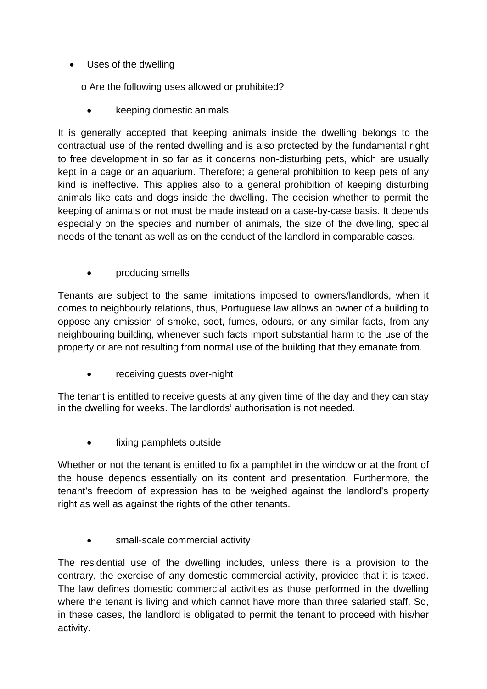Uses of the dwelling

o Are the following uses allowed or prohibited?

keeping domestic animals

It is generally accepted that keeping animals inside the dwelling belongs to the contractual use of the rented dwelling and is also protected by the fundamental right to free development in so far as it concerns non-disturbing pets, which are usually kept in a cage or an aquarium. Therefore; a general prohibition to keep pets of any kind is ineffective. This applies also to a general prohibition of keeping disturbing animals like cats and dogs inside the dwelling. The decision whether to permit the keeping of animals or not must be made instead on a case-by-case basis. It depends especially on the species and number of animals, the size of the dwelling, special needs of the tenant as well as on the conduct of the landlord in comparable cases.

• **producing smells** 

Tenants are subject to the same limitations imposed to owners/landlords, when it comes to neighbourly relations, thus, Portuguese law allows an owner of a building to oppose any emission of smoke, soot, fumes, odours, or any similar facts, from any neighbouring building, whenever such facts import substantial harm to the use of the property or are not resulting from normal use of the building that they emanate from.

• receiving quests over-night

The tenant is entitled to receive guests at any given time of the day and they can stay in the dwelling for weeks. The landlords' authorisation is not needed.

fixing pamphlets outside

Whether or not the tenant is entitled to fix a pamphlet in the window or at the front of the house depends essentially on its content and presentation. Furthermore, the tenant's freedom of expression has to be weighed against the landlord's property right as well as against the rights of the other tenants.

• small-scale commercial activity

The residential use of the dwelling includes, unless there is a provision to the contrary, the exercise of any domestic commercial activity, provided that it is taxed. The law defines domestic commercial activities as those performed in the dwelling where the tenant is living and which cannot have more than three salaried staff. So, in these cases, the landlord is obligated to permit the tenant to proceed with his/her activity.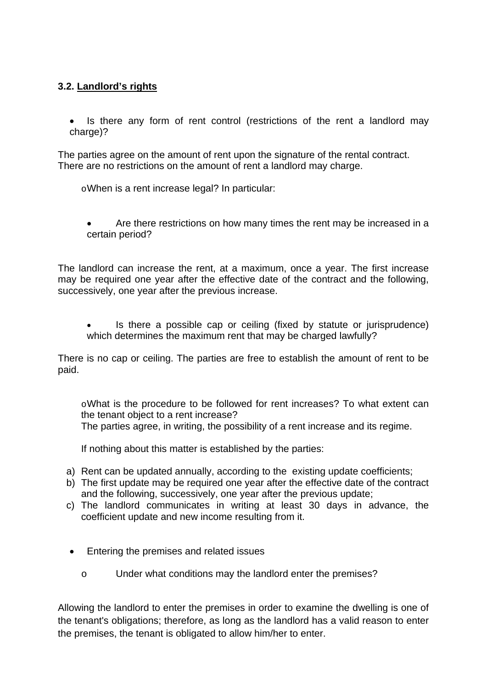# **3.2. Landlord's rights**

 Is there any form of rent control (restrictions of the rent a landlord may charge)?

The parties agree on the amount of rent upon the signature of the rental contract. There are no restrictions on the amount of rent a landlord may charge.

oWhen is a rent increase legal? In particular:

 Are there restrictions on how many times the rent may be increased in a certain period?

The landlord can increase the rent, at a maximum, once a year. The first increase may be required one year after the effective date of the contract and the following, successively, one year after the previous increase.

 Is there a possible cap or ceiling (fixed by statute or jurisprudence) which determines the maximum rent that may be charged lawfully?

There is no cap or ceiling. The parties are free to establish the amount of rent to be paid.

oWhat is the procedure to be followed for rent increases? To what extent can the tenant object to a rent increase?

The parties agree, in writing, the possibility of a rent increase and its regime.

If nothing about this matter is established by the parties:

- a) Rent can be updated annually, according to the existing update coefficients;
- b) The first update may be required one year after the effective date of the contract and the following, successively, one year after the previous update;
- c) The landlord communicates in writing at least 30 days in advance, the coefficient update and new income resulting from it.
- Entering the premises and related issues
	- o Under what conditions may the landlord enter the premises?

Allowing the landlord to enter the premises in order to examine the dwelling is one of the tenant's obligations; therefore, as long as the landlord has a valid reason to enter the premises, the tenant is obligated to allow him/her to enter.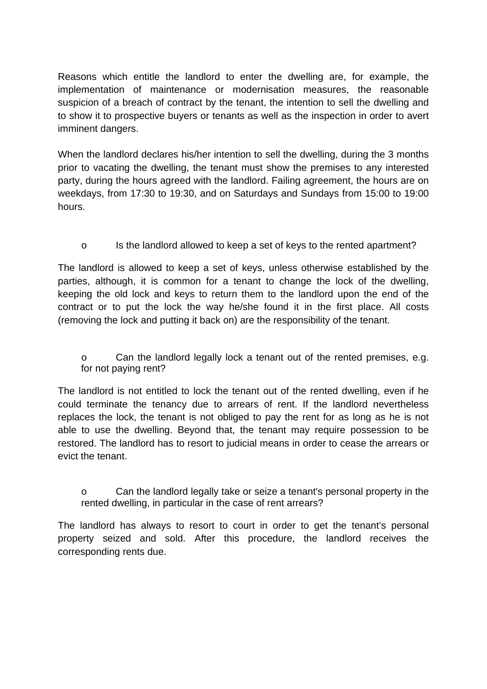Reasons which entitle the landlord to enter the dwelling are, for example, the implementation of maintenance or modernisation measures, the reasonable suspicion of a breach of contract by the tenant, the intention to sell the dwelling and to show it to prospective buyers or tenants as well as the inspection in order to avert imminent dangers.

When the landlord declares his/her intention to sell the dwelling, during the 3 months prior to vacating the dwelling, the tenant must show the premises to any interested party, during the hours agreed with the landlord. Failing agreement, the hours are on weekdays, from 17:30 to 19:30, and on Saturdays and Sundays from 15:00 to 19:00 hours.

o Is the landlord allowed to keep a set of keys to the rented apartment?

The landlord is allowed to keep a set of keys, unless otherwise established by the parties, although, it is common for a tenant to change the lock of the dwelling, keeping the old lock and keys to return them to the landlord upon the end of the contract or to put the lock the way he/she found it in the first place. All costs (removing the lock and putting it back on) are the responsibility of the tenant.

o Can the landlord legally lock a tenant out of the rented premises, e.g. for not paying rent?

The landlord is not entitled to lock the tenant out of the rented dwelling, even if he could terminate the tenancy due to arrears of rent. If the landlord nevertheless replaces the lock, the tenant is not obliged to pay the rent for as long as he is not able to use the dwelling. Beyond that, the tenant may require possession to be restored. The landlord has to resort to judicial means in order to cease the arrears or evict the tenant.

o Can the landlord legally take or seize a tenant's personal property in the rented dwelling, in particular in the case of rent arrears?

The landlord has always to resort to court in order to get the tenant's personal property seized and sold. After this procedure, the landlord receives the corresponding rents due.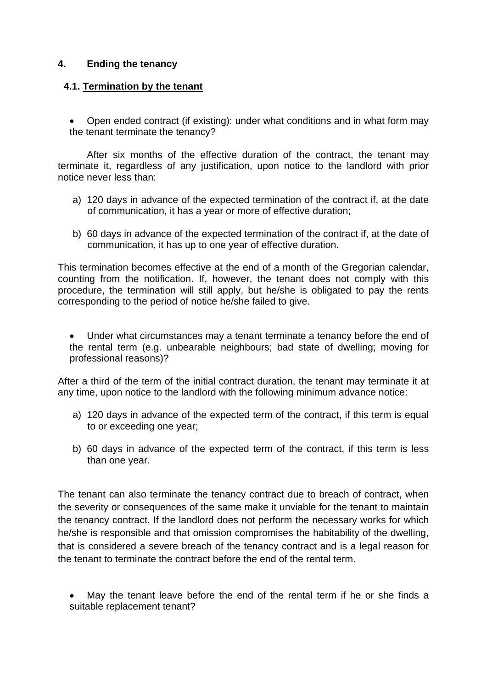#### **4. Ending the tenancy**

#### **4.1. Termination by the tenant**

 Open ended contract (if existing): under what conditions and in what form may the tenant terminate the tenancy?

After six months of the effective duration of the contract, the tenant may terminate it, regardless of any justification, upon notice to the landlord with prior notice never less than:

- a) 120 days in advance of the expected termination of the contract if, at the date of communication, it has a year or more of effective duration;
- b) 60 days in advance of the expected termination of the contract if, at the date of communication, it has up to one year of effective duration.

This termination becomes effective at the end of a month of the Gregorian calendar, counting from the notification. If, however, the tenant does not comply with this procedure, the termination will still apply, but he/she is obligated to pay the rents corresponding to the period of notice he/she failed to give.

 Under what circumstances may a tenant terminate a tenancy before the end of the rental term (e.g. unbearable neighbours; bad state of dwelling; moving for professional reasons)?

After a third of the term of the initial contract duration, the tenant may terminate it at any time, upon notice to the landlord with the following minimum advance notice:

- a) 120 days in advance of the expected term of the contract, if this term is equal to or exceeding one year;
- b) 60 days in advance of the expected term of the contract, if this term is less than one year.

The tenant can also terminate the tenancy contract due to breach of contract, when the severity or consequences of the same make it unviable for the tenant to maintain the tenancy contract. If the landlord does not perform the necessary works for which he/she is responsible and that omission compromises the habitability of the dwelling, that is considered a severe breach of the tenancy contract and is a legal reason for the tenant to terminate the contract before the end of the rental term.

 May the tenant leave before the end of the rental term if he or she finds a suitable replacement tenant?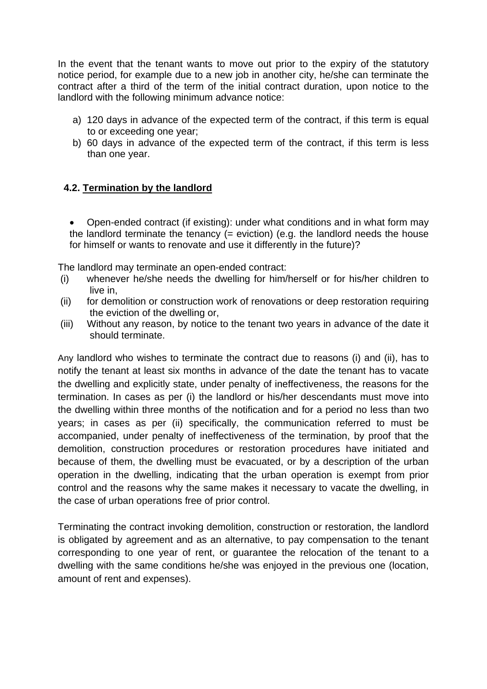In the event that the tenant wants to move out prior to the expiry of the statutory notice period, for example due to a new job in another city, he/she can terminate the contract after a third of the term of the initial contract duration, upon notice to the landlord with the following minimum advance notice:

- a) 120 days in advance of the expected term of the contract, if this term is equal to or exceeding one year;
- b) 60 days in advance of the expected term of the contract, if this term is less than one year.

#### **4.2. Termination by the landlord**

 Open-ended contract (if existing): under what conditions and in what form may the landlord terminate the tenancy  $(=$  eviction) (e.g. the landlord needs the house for himself or wants to renovate and use it differently in the future)?

The landlord may terminate an open-ended contract:

- (i) whenever he/she needs the dwelling for him/herself or for his/her children to live in,
- (ii) for demolition or construction work of renovations or deep restoration requiring the eviction of the dwelling or,
- (iii) Without any reason, by notice to the tenant two years in advance of the date it should terminate.

Any landlord who wishes to terminate the contract due to reasons (i) and (ii), has to notify the tenant at least six months in advance of the date the tenant has to vacate the dwelling and explicitly state, under penalty of ineffectiveness, the reasons for the termination. In cases as per (i) the landlord or his/her descendants must move into the dwelling within three months of the notification and for a period no less than two years; in cases as per (ii) specifically, the communication referred to must be accompanied, under penalty of ineffectiveness of the termination, by proof that the demolition, construction procedures or restoration procedures have initiated and because of them, the dwelling must be evacuated, or by a description of the urban operation in the dwelling, indicating that the urban operation is exempt from prior control and the reasons why the same makes it necessary to vacate the dwelling, in the case of urban operations free of prior control.

Terminating the contract invoking demolition, construction or restoration, the landlord is obligated by agreement and as an alternative, to pay compensation to the tenant corresponding to one year of rent, or guarantee the relocation of the tenant to a dwelling with the same conditions he/she was enjoyed in the previous one (location, amount of rent and expenses).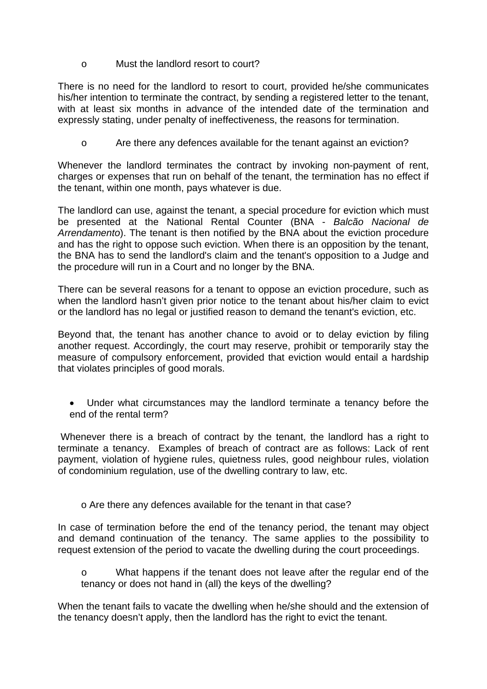o Must the landlord resort to court?

There is no need for the landlord to resort to court, provided he/she communicates his/her intention to terminate the contract, by sending a registered letter to the tenant, with at least six months in advance of the intended date of the termination and expressly stating, under penalty of ineffectiveness, the reasons for termination.

o Are there any defences available for the tenant against an eviction?

Whenever the landlord terminates the contract by invoking non-payment of rent, charges or expenses that run on behalf of the tenant, the termination has no effect if the tenant, within one month, pays whatever is due.

The landlord can use, against the tenant, a special procedure for eviction which must be presented at the National Rental Counter (BNA - *Balcão Nacional de Arrendamento*). The tenant is then notified by the BNA about the eviction procedure and has the right to oppose such eviction. When there is an opposition by the tenant, the BNA has to send the landlord's claim and the tenant's opposition to a Judge and the procedure will run in a Court and no longer by the BNA.

There can be several reasons for a tenant to oppose an eviction procedure, such as when the landlord hasn't given prior notice to the tenant about his/her claim to evict or the landlord has no legal or justified reason to demand the tenant's eviction, etc.

Beyond that, the tenant has another chance to avoid or to delay eviction by filing another request. Accordingly, the court may reserve, prohibit or temporarily stay the measure of compulsory enforcement, provided that eviction would entail a hardship that violates principles of good morals.

 Under what circumstances may the landlord terminate a tenancy before the end of the rental term?

 Whenever there is a breach of contract by the tenant, the landlord has a right to terminate a tenancy. Examples of breach of contract are as follows: Lack of rent payment, violation of hygiene rules, quietness rules, good neighbour rules, violation of condominium regulation, use of the dwelling contrary to law, etc.

o Are there any defences available for the tenant in that case?

In case of termination before the end of the tenancy period, the tenant may object and demand continuation of the tenancy. The same applies to the possibility to request extension of the period to vacate the dwelling during the court proceedings.

o What happens if the tenant does not leave after the regular end of the tenancy or does not hand in (all) the keys of the dwelling?

When the tenant fails to vacate the dwelling when he/she should and the extension of the tenancy doesn't apply, then the landlord has the right to evict the tenant.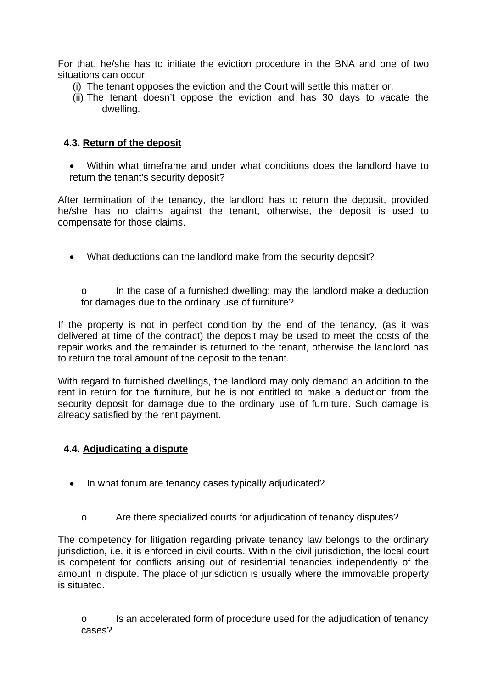For that, he/she has to initiate the eviction procedure in the BNA and one of two situations can occur:

- (i) The tenant opposes the eviction and the Court will settle this matter or,
- (ii) The tenant doesn't oppose the eviction and has 30 days to vacate the dwelling.

#### **4.3. Return of the deposit**

 Within what timeframe and under what conditions does the landlord have to return the tenant's security deposit?

After termination of the tenancy, the landlord has to return the deposit, provided he/she has no claims against the tenant, otherwise, the deposit is used to compensate for those claims.

- What deductions can the landlord make from the security deposit?
	- o In the case of a furnished dwelling: may the landlord make a deduction for damages due to the ordinary use of furniture?

If the property is not in perfect condition by the end of the tenancy, (as it was delivered at time of the contract) the deposit may be used to meet the costs of the repair works and the remainder is returned to the tenant, otherwise the landlord has to return the total amount of the deposit to the tenant.

With regard to furnished dwellings, the landlord may only demand an addition to the rent in return for the furniture, but he is not entitled to make a deduction from the security deposit for damage due to the ordinary use of furniture. Such damage is already satisfied by the rent payment.

#### **4.4. Adjudicating a dispute**

- In what forum are tenancy cases typically adjudicated?
	- o Are there specialized courts for adjudication of tenancy disputes?

The competency for litigation regarding private tenancy law belongs to the ordinary jurisdiction, i.e. it is enforced in civil courts. Within the civil jurisdiction, the local court is competent for conflicts arising out of residential tenancies independently of the amount in dispute. The place of jurisdiction is usually where the immovable property is situated.

o Is an accelerated form of procedure used for the adjudication of tenancy cases?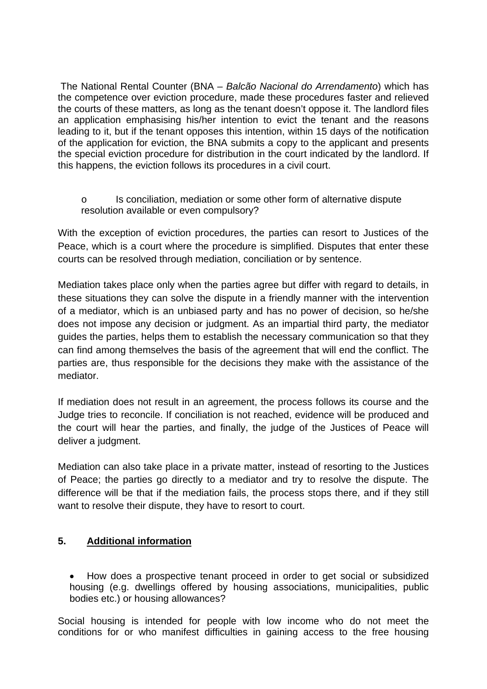The National Rental Counter (BNA – *Balcão Nacional do Arrendamento*) which has the competence over eviction procedure, made these procedures faster and relieved the courts of these matters, as long as the tenant doesn't oppose it. The landlord files an application emphasising his/her intention to evict the tenant and the reasons leading to it, but if the tenant opposes this intention, within 15 days of the notification of the application for eviction, the BNA submits a copy to the applicant and presents the special eviction procedure for distribution in the court indicated by the landlord. If this happens, the eviction follows its procedures in a civil court.

#### o Is conciliation, mediation or some other form of alternative dispute resolution available or even compulsory?

With the exception of eviction procedures, the parties can resort to Justices of the Peace, which is a court where the procedure is simplified. Disputes that enter these courts can be resolved through mediation, conciliation or by sentence.

Mediation takes place only when the parties agree but differ with regard to details, in these situations they can solve the dispute in a friendly manner with the intervention of a mediator, which is an unbiased party and has no power of decision, so he/she does not impose any decision or judgment. As an impartial third party, the mediator guides the parties, helps them to establish the necessary communication so that they can find among themselves the basis of the agreement that will end the conflict. The parties are, thus responsible for the decisions they make with the assistance of the mediator.

If mediation does not result in an agreement, the process follows its course and the Judge tries to reconcile. If conciliation is not reached, evidence will be produced and the court will hear the parties, and finally, the judge of the Justices of Peace will deliver a judgment.

Mediation can also take place in a private matter, instead of resorting to the Justices of Peace; the parties go directly to a mediator and try to resolve the dispute. The difference will be that if the mediation fails, the process stops there, and if they still want to resolve their dispute, they have to resort to court.

# **5. Additional information**

 How does a prospective tenant proceed in order to get social or subsidized housing (e.g. dwellings offered by housing associations, municipalities, public bodies etc.) or housing allowances?

Social housing is intended for people with low income who do not meet the conditions for or who manifest difficulties in gaining access to the free housing